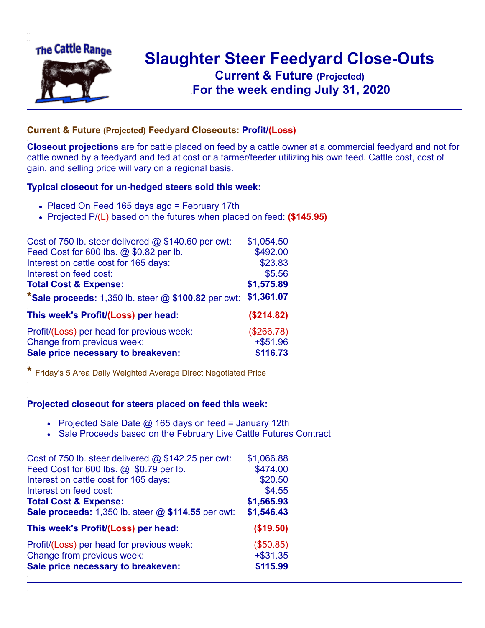

## **Slaughter Steer Feedyard Close-Outs Current & Future (Projected)** .**For the week ending July 31, 2020**

## **Current & Future (Projected) Feedyard Closeouts: Profit/(Loss)**

**Closeout projections** are for cattle placed on feed by a cattle owner at a commercial feedyard and not for cattle owned by a feedyard and fed at cost or a farmer/feeder utilizing his own feed. Cattle cost, cost of gain, and selling price will vary on a regional basis.

## **Typical closeout for un-hedged steers sold this week:**

- Placed On Feed 165 days ago = February 17th
- Projected P/(L) based on the futures when placed on feed: **(\$145.95)**

| Cost of 750 lb. steer delivered $@$ \$140.60 per cwt:   | \$1,054.50 |
|---------------------------------------------------------|------------|
| Feed Cost for 600 lbs. @ \$0.82 per lb.                 | \$492.00   |
| Interest on cattle cost for 165 days:                   | \$23.83    |
| Interest on feed cost:                                  | \$5.56     |
| <b>Total Cost &amp; Expense:</b>                        | \$1,575.89 |
| *Sale proceeds: $1,350$ lb. steer $@$ \$100.82 per cwt: | \$1,361.07 |
| This week's Profit/(Loss) per head:                     | (\$214.82) |
| Profit/(Loss) per head for previous week:               | (\$266.78) |
| Change from previous week:                              | $+ $51.96$ |
| Sale price necessary to breakeven:                      | \$116.73   |

**\*** Friday's 5 Area Daily Weighted Average Direct Negotiated Price

## **Projected closeout for steers placed on feed this week:**

- Projected Sale Date  $@$  165 days on feed = January 12th
- Sale Proceeds based on the February Live Cattle Futures Contract

| Cost of 750 lb. steer delivered @ \$142.25 per cwt: | \$1,066.88 |
|-----------------------------------------------------|------------|
| Feed Cost for 600 lbs. @ \$0.79 per lb.             | \$474.00   |
| Interest on cattle cost for 165 days:               | \$20.50    |
| Interest on feed cost:                              | \$4.55     |
| <b>Total Cost &amp; Expense:</b>                    | \$1,565.93 |
| Sale proceeds: 1,350 lb. steer @ \$114.55 per cwt:  | \$1,546.43 |
| This week's Profit/(Loss) per head:                 | (\$19.50)  |
| Profit/(Loss) per head for previous week:           | (\$50.85)  |
| Change from previous week:                          | $+ $31.35$ |
| Sale price necessary to breakeven:                  | \$115.99   |
|                                                     |            |